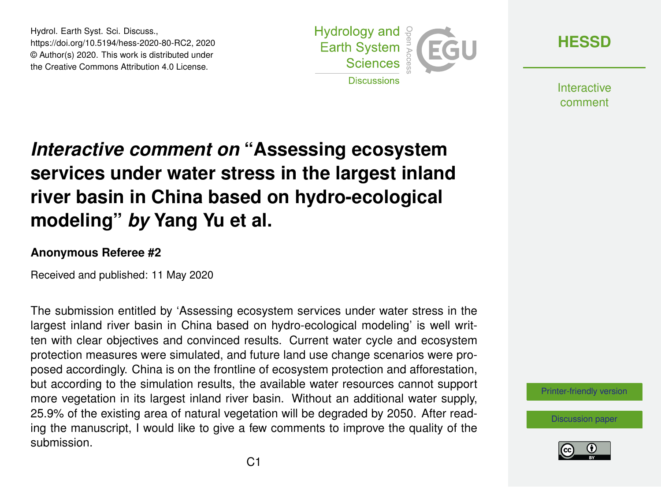Hydrol. Earth Syst. Sci. Discuss., https://doi.org/10.5194/hess-2020-80-RC2, 2020 © Author(s) 2020. This work is distributed under the Creative Commons Attribution 4.0 License.



**[HESSD](https://www.hydrol-earth-syst-sci-discuss.net/)**

**Interactive** comment

## *Interactive comment on* **"Assessing ecosystem services under water stress in the largest inland river basin in China based on hydro-ecological modeling"** *by* **Yang Yu et al.**

## **Anonymous Referee #2**

Received and published: 11 May 2020

The submission entitled by 'Assessing ecosystem services under water stress in the largest inland river basin in China based on hydro-ecological modeling' is well written with clear objectives and convinced results. Current water cycle and ecosystem protection measures were simulated, and future land use change scenarios were proposed accordingly. China is on the frontline of ecosystem protection and afforestation, but according to the simulation results, the available water resources cannot support more vegetation in its largest inland river basin. Without an additional water supply, 25.9% of the existing area of natural vegetation will be degraded by 2050. After reading the manuscript, I would like to give a few comments to improve the quality of the submission.



[Discussion paper](https://www.hydrol-earth-syst-sci-discuss.net/hess-2020-80)